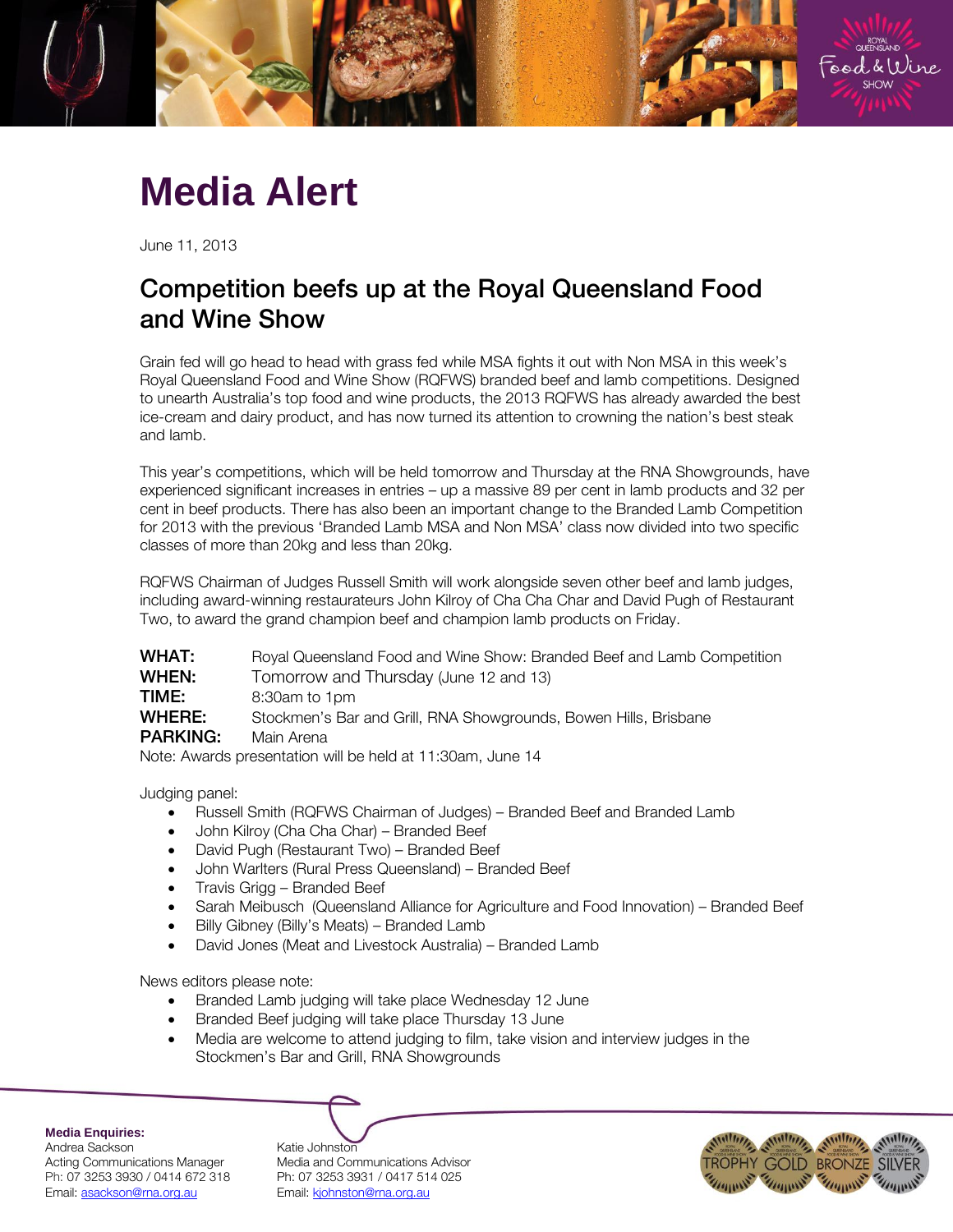

## **Media Alert**

June 11, 2013

## Competition beefs up at the Royal Queensland Food and Show Show

Grain fed will go head to head with grass fed while MSA fights it out with Non MSA in this week's Royal Queensland Food and Wine Show (RQFWS) branded beef and lamb competitions. Designed to unearth Australia's top food and wine products, the 2013 RQFWS has already awarded the best ice-cream and dairy product, and has now turned its attention to crowning the nation's best steak and lamb.

This year's competitions, which will be held tomorrow and Thursday at the RNA Showgrounds, have experienced significant increases in entries – up a massive 89 per cent in lamb products and 32 per cent in beef products. There has also been an important change to the Branded Lamb Competition for 2013 with the previous 'Branded Lamb MSA and Non MSA' class now divided into two specific classes of more than 20kg and less than 20kg.

RQFWS Chairman of Judges Russell Smith will work alongside seven other beef and lamb judges, including award-winning restaurateurs John Kilroy of Cha Cha Char and David Pugh of Restaurant Two, to award the grand champion beef and champion lamb products on Friday.

| <b>WHAT:</b>                                               | Royal Queensland Food and Wine Show: Branded Beef and Lamb Competition |  |
|------------------------------------------------------------|------------------------------------------------------------------------|--|
| WHEN:                                                      | Tomorrow and Thursday (June 12 and 13)                                 |  |
| TIME:                                                      | 8:30am to 1pm                                                          |  |
| WHERE:                                                     | Stockmen's Bar and Grill, RNA Showgrounds, Bowen Hills, Brisbane       |  |
| <b>PARKING:</b>                                            | Main Arena                                                             |  |
| Note: Awards presentation will be held at 11:30am, June 14 |                                                                        |  |

Judging panel:

- Russell Smith (RQFWS Chairman of Judges) Branded Beef and Branded Lamb
- John Kilroy (Cha Cha Char) Branded Beef
- David Pugh (Restaurant Two) Branded Beef
- John Warlters (Rural Press Queensland) Branded Beef
- Travis Grigg Branded Beef
- Sarah Meibusch (Queensland Alliance for Agriculture and Food Innovation) Branded Beef
- Billy Gibney (Billy's Meats) Branded Lamb
- David Jones (Meat and Livestock Australia) Branded Lamb

News editors please note:

- Branded Lamb judging will take place Wednesday 12 June
- Branded Beef judging will take place Thursday 13 June
- Media are welcome to attend judging to film, take vision and interview judges in the Stockmen's Bar and Grill, RNA Showgrounds

**Media Enquiries:**

Andrea Sackson Acting Communications Manager Ph: 07 3253 3930 / 0414 672 318 Email: asackson@rna.org.au

| Katie Johnston                   |
|----------------------------------|
| Media and Communications Advisor |
| Ph: 07 3253 3931 / 0417 514 025  |
| Email: kjohnston@rna.org.au      |